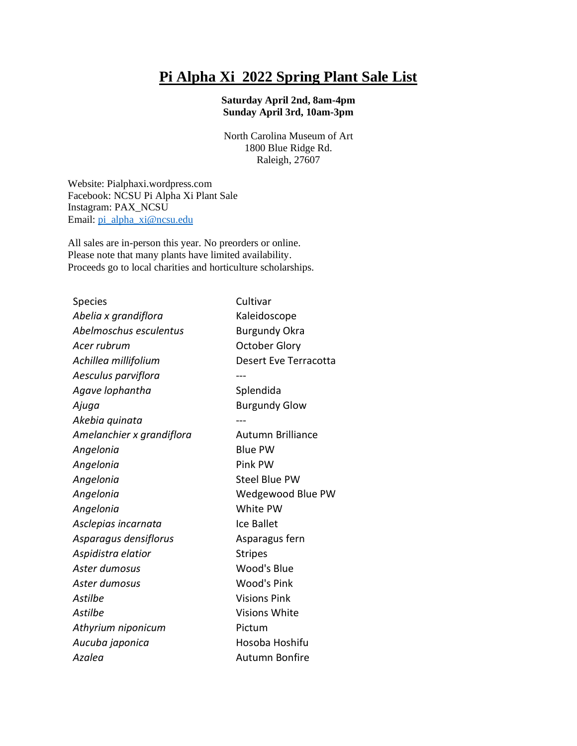## **Pi Alpha Xi 2022 Spring Plant Sale List**

## **Saturday April 2nd, 8am-4pm Sunday April 3rd, 10am-3pm**

North Carolina Museum of Art 1800 Blue Ridge Rd. Raleigh, 27607

Website: Pialphaxi.wordpress.com Facebook: NCSU Pi Alpha Xi Plant Sale Instagram: PAX\_NCSU Email: [pi\\_alpha\\_xi@ncsu.edu](mailto:pi_alpha_xi@ncsu.edu)

All sales are in-person this year. No preorders or online. Please note that many plants have limited availability. Proceeds go to local charities and horticulture scholarships.

| Species                   | Cultivar                 |
|---------------------------|--------------------------|
| Abelia x grandiflora      | Kaleidoscope             |
| Abelmoschus esculentus    | <b>Burgundy Okra</b>     |
| Acer rubrum               | <b>October Glory</b>     |
| Achillea millifolium      | Desert Eve Terracotta    |
| Aesculus parviflora       |                          |
| Agave lophantha           | Splendida                |
| Ajuga                     | <b>Burgundy Glow</b>     |
| Akebia quinata            |                          |
| Amelanchier x grandiflora | <b>Autumn Brilliance</b> |
| Angelonia                 | <b>Blue PW</b>           |
| Angelonia                 | Pink PW                  |
| Angelonia                 | <b>Steel Blue PW</b>     |
| Angelonia                 | Wedgewood Blue PW        |
| Angelonia                 | White PW                 |
| Asclepias incarnata       | <b>Ice Ballet</b>        |
| Asparagus densiflorus     | Asparagus fern           |
| Aspidistra elatior        | <b>Stripes</b>           |
| Aster dumosus             | Wood's Blue              |
| Aster dumosus             | <b>Wood's Pink</b>       |
| Astilbe                   | <b>Visions Pink</b>      |
| Astilbe                   | <b>Visions White</b>     |
| Athyrium niponicum        | Pictum                   |
| Aucuba japonica           | Hosoba Hoshifu           |
| Azalea                    | Autumn Bonfire           |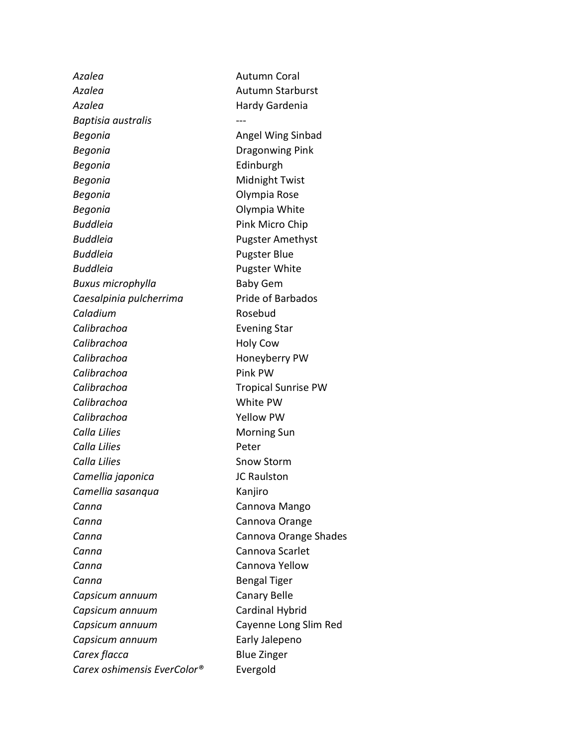*Azalea* Autumn Coral *Azalea* Autumn Starburst *Azalea* Hardy Gardenia *Baptisia australis* --- **Begonia Angel Wing Sinbad Begonia Dragonwing Pink Begonia Edinburgh Begonia Midnight Twist** *Begonia* Olympia Rose **Begonia Contract Contract Contract Contract Contract Contract Contract Contract Contract Contract Contract Contract Contract Contract Contract Contract Contract Contract Contract Contract Contract Contract Contract Cont Buddleia** Pink Micro Chip *Buddleia* Pugster Amethyst *Buddleia* Pugster Blue **Buddleia Pugster White Buxus microphylla** Baby Gem *Caesalpinia pulcherrima* Pride of Barbados *Caladium* Rosebud **Calibrachoa Evening Star** *Calibrachoa* Holy Cow *Calibrachoa* Honeyberry PW *Calibrachoa* Pink PW *Calibrachoa* Tropical Sunrise PW *Calibrachoa* White PW *Calibrachoa* Yellow PW **Calla Lilies Morning Sun** *Calla Lilies* Peter **Calla Lilies** Snow Storm *Camellia japonica* JC Raulston *Camellia sasanqua* Kanjiro *Canna* Cannova Mango **Canna** Cannova Orange **Canna** Cannova Orange Shades *Canna* Cannova Scarlet *Canna* Cannova Yellow **Canna Canna Bengal Tiger** *Capsicum annuum* Canary Belle *Capsicum annuum* Cardinal Hybrid *Capsicum annuum* Cayenne Long Slim Red *Capsicum annuum* Early Jalepeno **Carex flacca Blue Zinger** *Carex oshimensis EverColor®* Evergold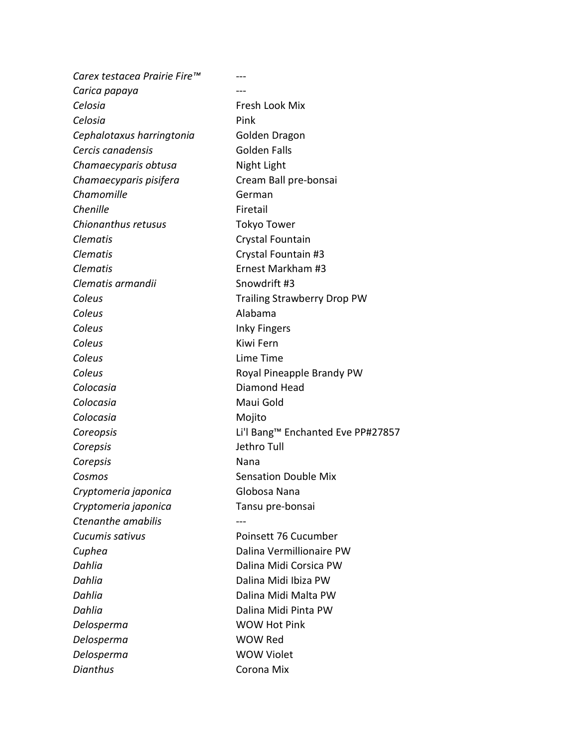*Carex testacea Prairie Fire™* --- *Carica papaya* --- *Celosia* Fresh Look Mix *Celosia* Pink *Cephalotaxus harringtonia* Golden Dragon **Cercis canadensis** Golden Falls *Chamaecyparis obtusa* Night Light *Chamaecyparis pisifera* Cream Ball pre-bonsai **Chamomille German Chenille** Firetail *Chionanthus retusus* Tokyo Tower **Clematis** Crystal Fountain *Clematis* Crystal Fountain #3 *Clematis* Ernest Markham #3 *Clematis armandii* Snowdrift #3 **Coleus** Trailing Strawberry Drop PW *Coleus* Alabama *Coleus* Inky Fingers *Coleus* Kiwi Fern *Coleus* Lime Time **Coleus Coleus Royal Pineapple Brandy PW Colocasia Colocasia Diamond Head** *Colocasia* Maui Gold *Colocasia* Mojito *Coreopsis* Li'l Bang™ Enchanted Eve PP#27857 *Corepsis* Jethro Tull *Corepsis* Nana **Cosmos Sensation Double Mix** *Cryptomeria japonica* Globosa Nana *Cryptomeria japonica* Tansu pre-bonsai *Ctenanthe amabilis* --- *Cucumis sativus* Poinsett 76 Cucumber **Cuphea Dalina Vermillionaire PW** *Dahlia* Dalina Midi Corsica PW *Dahlia* Dalina Midi Ibiza PW *Dahlia* Dalina Midi Malta PW *Dahlia* Dalina Midi Pinta PW **Delosperma WOW Hot Pink** *Delosperma* WOW Red **Delosperma WOW Violet** *Dianthus* Corona Mix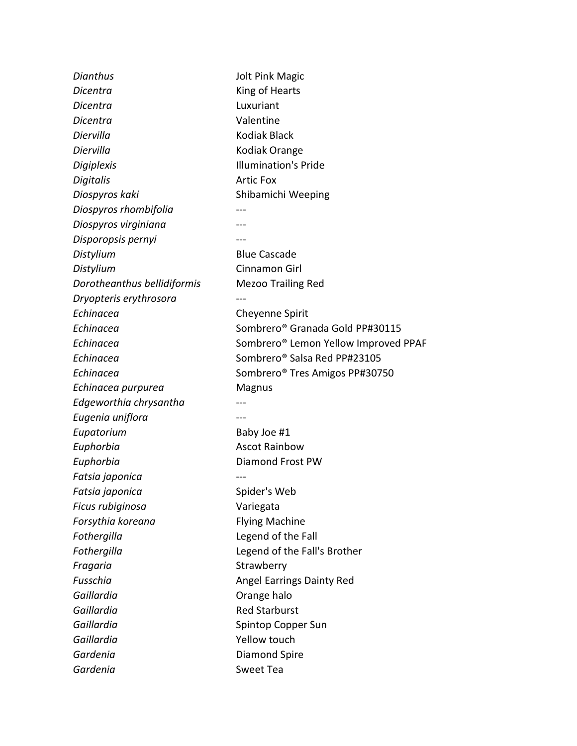*Dianthus* Jolt Pink Magic *Dicentra* King of Hearts *Dicentra* Luxuriant *Dicentra* Valentine *Diervilla* Kodiak Black *Diervilla* Kodiak Orange *Digiplexis* Illumination's Pride *Digitalis* Artic Fox **Diospyros kaki** Shibamichi Weeping *Diospyros rhombifolia* --- *Diospyros virginiana* --- *Disporopsis pernyi* --- **Distylium** Blue Cascade *Distylium* Cinnamon Girl *Dorotheanthus bellidiformis* Mezoo Trailing Red *Dryopteris erythrosora* --- **Echinacea Cheyenne Spirit** *Echinacea* Sombrero® Granada Gold PP#30115 *Echinacea* Sombrero® Lemon Yellow Improved PPAF **Echinacea Sombrero®** Salsa Red PP#23105 *Echinacea* Sombrero® Tres Amigos PP#30750 *Echinacea purpurea* Magnus *Edgeworthia chrysantha* --- *Eugenia uniflora* --- **Eupatorium Baby Joe #1** *Euphorbia* **Ascot Rainbow Euphorbia Diamond Frost PW** *Fatsia japonica* --- **Fatsia japonica** Spider's Web *Ficus rubiginosa* Variegata *Forsythia koreana* Flying Machine *Fothergilla* Legend of the Fall *Fothergilla* Legend of the Fall's Brother **Fragaria** Strawberry **Fusschia Angel Earrings Dainty Red** Gaillardia **Communist Communist Communist Communist Communist Communist Communist Communist Communist Communist Communist Communist Communist Communist Communist Communist Communist Communist Communist Communist Communist Gaillardia Red Starburst Gaillardia Spintop Copper Sun** *Gaillardia* Yellow touch Gardenia **Diamond Spire** *Gardenia* Sweet Tea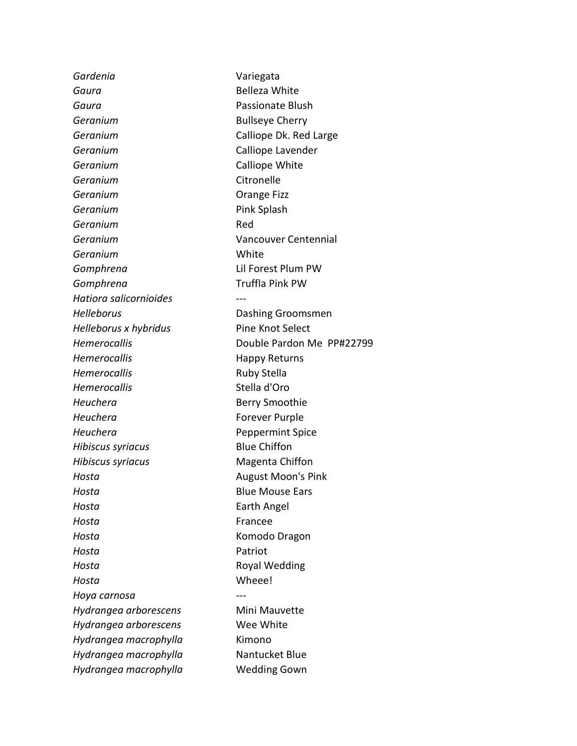*Gardenia* Variegata **Gaura Belleza White** *Gaura* Passionate Blush **Geranium Bullseye Cherry Geranium Calliope Dk. Red Large** *Geranium* Calliope Lavender **Geranium Calliope White** Geranium **Citronelle Geranium Construction Construction Construction Construction Construction Geranium Pink Splash** *Geranium* Red *Geranium* Vancouver Centennial *Geranium* White *Gomphrena* Lil Forest Plum PW *Gomphrena* Truffla Pink PW *Hatiora salicornioides* --- **Helleborus Dashing Groomsmen** *Helleborus x hybridus* Pine Knot Select **Hemerocallis Happy Returns** *Hemerocallis* Ruby Stella *Hemerocallis* Stella d'Oro **Heuchera Berry Smoothie Heuchera Forever Purple** *Heuchera* **Peppermint Spice** *Hibiscus syriacus* Blue Chiffon *Hibiscus syriacus* Magenta Chiffon *Hosta* **August Moon's Pink Hosta Blue Mouse Ears** *Hosta* **Earth Angel** *Hosta* Francee *Hosta* Komodo Dragon *Hosta* Patriot *Hosta* **Royal Wedding** *Hosta* Wheee! *Hoya carnosa* --- *Hydrangea arborescens* Mini Mauvette *Hydrangea arborescens* Wee White *Hydrangea macrophylla* Kimono *Hydrangea macrophylla* Nantucket Blue *Hydrangea macrophylla* Wedding Gown

*Hemerocallis* Double Pardon Me PP#22799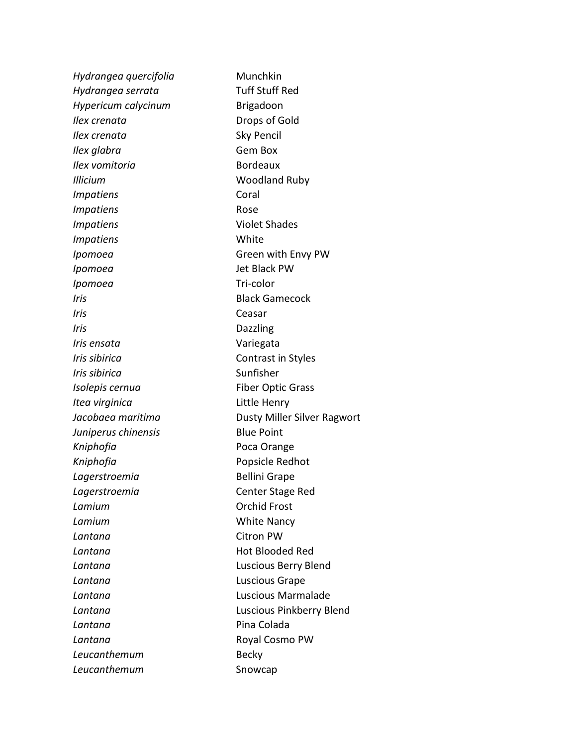*Hydrangea quercifolia* Munchkin *Hydrangea serrata* Tuff Stuff Red *Hypericum calycinum* **Brigadoon** *Ilex crenata* Drops of Gold *Ilex crenata* Sky Pencil *Ilex glabra* Gem Box *Ilex vomitoria* Bordeaux *Illicium* Woodland Ruby *Impatiens* Coral *Impatiens* Rose **Impatiens Violet Shades** *Impatiens* White *Ipomoea* **Green with Envy PW** *Ipomoea* Jet Black PW *Ipomoea* Tri-color *Iris* **Black Gamecock** *Iris* Ceasar *Iris* Dazzling *Iris ensata* Variegata *Iris sibirica* **Contrast in Styles** *Iris sibirica* and *Sunfisher Isolepis cernua* Fiber Optic Grass *Itea virginica* Little Henry *Jacobaea maritima* Dusty Miller Silver Ragwort *Juniperus chinensis* Blue Point *Kniphofia* Poca Orange *Kniphofia* Popsicle Redhot *Lagerstroemia* Bellini Grape *Lagerstroemia* Center Stage Red **Lamium Calculation Contract Contract Contract Contract Contract Contract Contract Contract Contract Contract Contract Contract Contract Contract Contract Contract Contract Contract Contract Contract Contract Contract Lamium White Nancy** *Lantana* Citron PW **Lantana Contract Contract Lantana Hot Blooded Red** *Lantana* Luscious Berry Blend *Lantana* Luscious Grape *Lantana* Luscious Marmalade *Lantana* Luscious Pinkberry Blend Lantana *Lantana* Pina Colada **Lantana Company Royal Cosmo PW Leucanthemum Becky** *Leucanthemum* Snowcap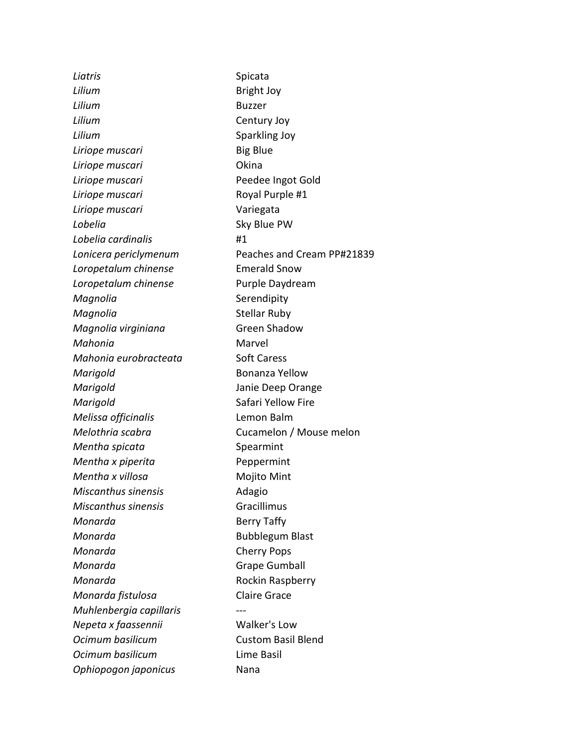Liatris **Spicata** *Lilium* **Bright Joy** *Lilium* Buzzer *Lilium* Century Joy **Lilium Sparkling Joy Liriope muscari Big Blue** *Liriope muscari* Okina *Liriope muscari* Peedee Ingot Gold *Liriope muscari* **Royal Purple #1** *Liriope muscari* Variegata *Lobelia* Sky Blue PW *Lobelia cardinalis* #1 *Lonicera periclymenum* Peaches and Cream PP#21839 *Loropetalum chinense* Emerald Snow **Loropetalum chinense** Purple Daydream *Magnolia* Serendipity *Magnolia* Stellar Ruby *Magnolia virginiana* Green Shadow *Mahonia* Marvel *Mahonia eurobracteata* Soft Caress *Marigold* **Bonanza Yellow** *Marigold* Janie Deep Orange **Marigold Safari Yellow Fire** *Melissa officinalis* Lemon Balm *Melothria scabra* Cucamelon / Mouse melon *Mentha spicata* Spearmint *Mentha x piperita* Peppermint *Mentha x villosa* Mojito Mint *Miscanthus sinensis* **Adagio** *Miscanthus sinensis* Gracillimus *Monarda* **Berry Taffy** *Monarda* **Bubblegum Blast** *Monarda* Cherry Pops **Monarda Grape Gumball** *Monarda* **Rockin Raspberry** *Monarda fistulosa* Claire Grace *Muhlenbergia capillaris* --- *Nepeta x faassennii* Walker's Low *Ocimum basilicum* Custom Basil Blend *Ocimum basilicum* Lime Basil *Ophiopogon japonicus* Nana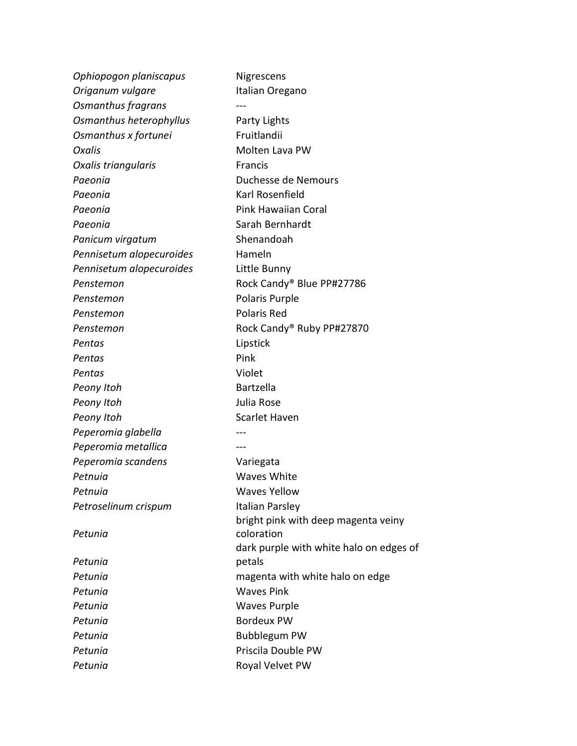| Ophiopogon planiscapus   | Nigrescens                              |
|--------------------------|-----------------------------------------|
| Origanum vulgare         | Italian Oregano                         |
| Osmanthus fragrans       |                                         |
| Osmanthus heterophyllus  | Party Lights                            |
| Osmanthus x fortunei     | Fruitlandii                             |
| Oxalis                   | Molten Lava PW                          |
| Oxalis triangularis      | Francis                                 |
| Paeonia                  | Duchesse de Nemours                     |
| Paeonia                  | Karl Rosenfield                         |
| Paeonia                  | <b>Pink Hawaiian Coral</b>              |
| Paeonia                  | Sarah Bernhardt                         |
| Panicum virgatum         | Shenandoah                              |
| Pennisetum alopecuroides | Hameln                                  |
| Pennisetum alopecuroides | Little Bunny                            |
| Penstemon                | Rock Candy® Blue PP#27786               |
| Penstemon                | Polaris Purple                          |
| Penstemon                | Polaris Red                             |
| Penstemon                | Rock Candy® Ruby PP#27870               |
| Pentas                   | Lipstick                                |
| Pentas                   | Pink                                    |
| Pentas                   | Violet                                  |
| Peony Itoh               | <b>Bartzella</b>                        |
| Peony Itoh               | Julia Rose                              |
| Peony Itoh               | <b>Scarlet Haven</b>                    |
| Peperomia glabella       |                                         |
| Peperomia metallica      |                                         |
| Peperomia scandens       | Variegata                               |
| Petnuia                  | Waves White                             |
| Petnuia                  | <b>Waves Yellow</b>                     |
| Petroselinum crispum     | Italian Parsley                         |
|                          | bright pink with deep magenta veiny     |
| Petunia                  | coloration                              |
|                          | dark purple with white halo on edges of |
| Petunia                  | petals                                  |
| Petunia                  | magenta with white halo on edge         |
| Petunia                  | <b>Waves Pink</b>                       |
| Petunia                  | <b>Waves Purple</b>                     |
| Petunia                  | <b>Bordeux PW</b>                       |
| Petunia                  | <b>Bubblegum PW</b>                     |
| Petunia                  | Priscila Double PW                      |
| Petunia                  | Royal Velvet PW                         |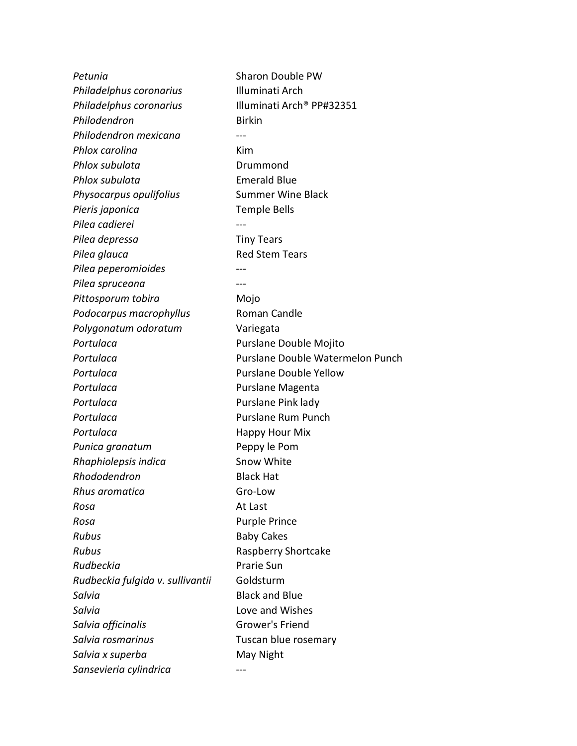**Petunia Contract Contract Contract Contract Contract Contract Contract Contract Contract Contract Contract Contract Contract Contract Contract Contract Contract Contract Contract Contract Contract Contract Contract Cont** *Philadelphus coronarius* Illuminati Arch *Philadelphus coronarius* Illuminati Arch® PP#32351 *Philodendron* Birkin *Philodendron mexicana* --- *Phlox carolina* Kim **Phlox subulata Drummond** *Phlox subulata* Emerald Blue **Physocarpus opulifolius** Summer Wine Black *Pieris japonica* Temple Bells *Pilea cadierei* --- *Pilea depressa* Tiny Tears **Pilea glauca Red Stem Tears**  $P$ *ilea peperomioides Pilea spruceana* --- Pittosporum tobira **Mojo** Podocarpus macrophyllus Roman Candle *Polygonatum odoratum* Variegata Portulaca **Purslane Double Mojito Portulaca Purslane Double Watermelon Punch Portulaca Purslane Double Yellow** Portulaca **Purslane Magenta** Portulaca **Purslane Pink lady Portulaca Purslane Rum Punch Portulaca Happy Hour Mix Punica granatum** Peppy le Pom **Rhaphiolepsis indica** Snow White *Rhododendron* Black Hat *Rhus aromatica* Gro-Low *Rosa* At Last *Rosa* Purple Prince **Rubus Baby Cakes Rubus** Raspberry Shortcake *Rudbeckia* Prarie Sun *Rudbeckia fulgida v. sullivantii* Goldsturm **Salvia Contract Salude Black and Blue** *Salvia* Love and Wishes **Salvia officinalis Grower's Friend** *Salvia rosmarinus* Tuscan blue rosemary **Salvia x superba May Night** *Sansevieria cylindrica* ---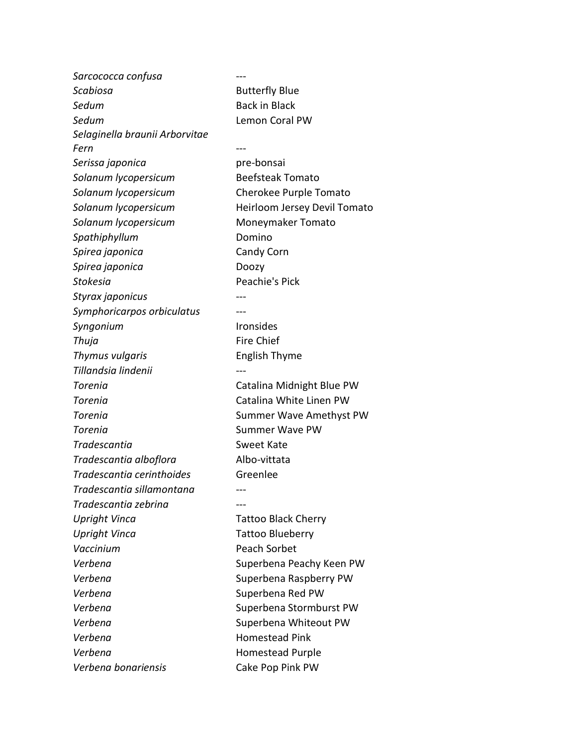*Sarcococca confusa* --- **Scabiosa Butterfly Blue Sedum Back in Black** *Sedum* Lemon Coral PW *Selaginella braunii Arborvitae Fern* --- *Serissa japonica* pre-bonsai *Solanum lycopersicum* Beefsteak Tomato *Solanum lycopersicum* Cherokee Purple Tomato *Solanum lycopersicum* Heirloom Jersey Devil Tomato *Solanum lycopersicum* Moneymaker Tomato *Spathiphyllum* Domino *Spirea japonica* Candy Corn *Spirea japonica* Doozy *Stokesia* Peachie's Pick *Styrax japonicus* --- *Symphoricarpos orbiculatus* --- *Syngonium* Ironsides **Thuja** Fire Chief **Thymus vulgaris** English Thyme *Tillandsia lindenii* --- **Torenia Catalina Midnight Blue PW Torenia Catalina White Linen PW Torenia CONSERVIATION CONSERVIATION Summer Wave Amethyst PW Torenia Summer Wave PW Tradescantia Sweet Kate** *Tradescantia alboflora* Albo-vittata *Tradescantia cerinthoides* Greenlee *Tradescantia sillamontana* --- *Tradescantia zebrina* --- *Upright Vinca* Tattoo Black Cherry *Upright Vinca* Tattoo Blueberry Vaccinium **Peach Sorbet** *Verbena* Superbena Peachy Keen PW *Verbena* Superbena Raspberry PW *Verbena* Superbena Red PW Verbena<br>
Superbena Stormburst PW *Verbena* Superbena Whiteout PW *Verbena* Homestead Pink Verbena **1988** Homestead Purple *Verbena bonariensis* Cake Pop Pink PW